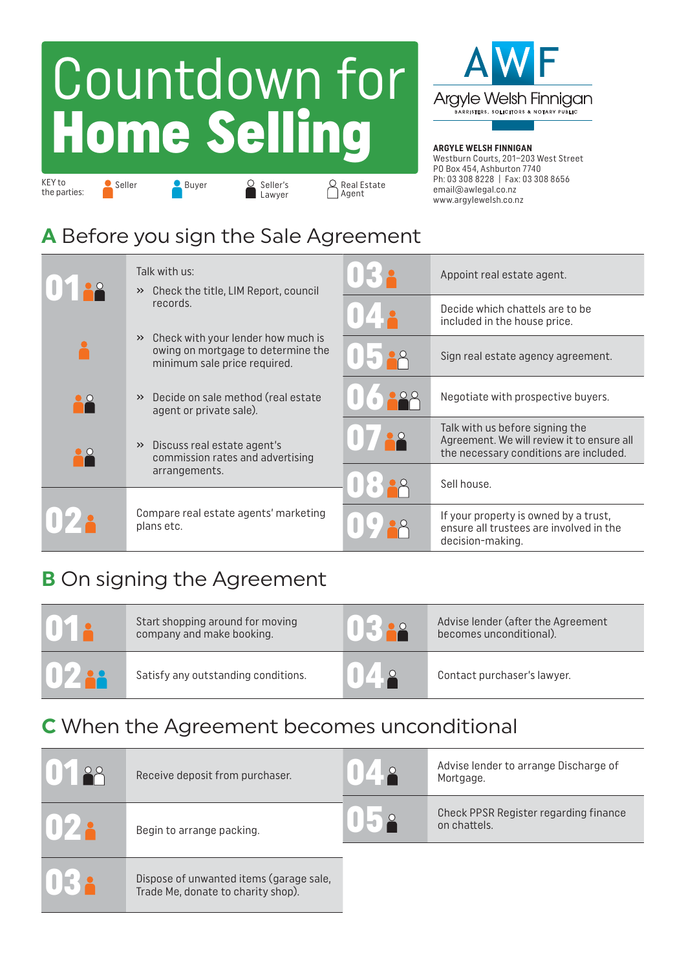# Countdown for Home Selling



#### **ARGYLE WELSH FINNIGAN**

Westburn Courts, 201–203 West Street PO Box 454, Ashburton 7740 Ph: 03 308 8228 | Fax: 03 308 8656 email@awlegal.co.nz www.argylewelsh.co.nz

#### **A** Before you sign the Sale Agreement

KEY to the parties: Seller Buyer O Seller's Q Real Estate<br>
Lawyer Agent Buyer C Seller's

**Lawyer** 

| 122 | Talk with us:<br>Check the title, LIM Report, council<br>$\rightarrow$                                                    |        | Appoint real estate agent.                                                                                              |
|-----|---------------------------------------------------------------------------------------------------------------------------|--------|-------------------------------------------------------------------------------------------------------------------------|
|     | records.                                                                                                                  | 172    | Decide which chattels are to be<br>included in the house price.                                                         |
|     | Check with your lender how much is<br>$\rightarrow$<br>owing on mortgage to determine the<br>minimum sale price required. | 117.88 | Sign real estate agency agreement.                                                                                      |
| ▚   | Decide on sale method (real estate<br>$\rightarrow$<br>agent or private sale).                                            |        | Negotiate with prospective buyers.                                                                                      |
| 10  | Discuss real estate agent's<br>$\rightarrow$<br>commission rates and advertising                                          |        | Talk with us before signing the<br>Agreement. We will review it to ensure all<br>the necessary conditions are included. |
|     | arrangements.                                                                                                             |        | Sell house.                                                                                                             |
|     | Compare real estate agents' marketing<br>plans etc.                                                                       |        | If your property is owned by a trust,<br>ensure all trustees are involved in the<br>decision-making.                    |

### **B** On signing the Agreement

| UY 2         | Start shopping around for moving<br>company and make booking. |     | Advise lender (after the Agreement<br>becomes unconditional). |
|--------------|---------------------------------------------------------------|-----|---------------------------------------------------------------|
| <b>10222</b> | Satisfy any outstanding conditions.                           | 042 | Contact purchaser's lawyer.                                   |

## **C** When the Agreement becomes unconditional

| Receive deposit from purchaser.                                               | $\begin{array}{c} \hline \end{array}$<br><b>140</b> | Advise lender to arrange Discharge of<br>Mortgage.    |
|-------------------------------------------------------------------------------|-----------------------------------------------------|-------------------------------------------------------|
| Begin to arrange packing.                                                     |                                                     | Check PPSR Register regarding finance<br>on chattels. |
| Dispose of unwanted items (garage sale,<br>Trade Me, donate to charity shop). |                                                     |                                                       |